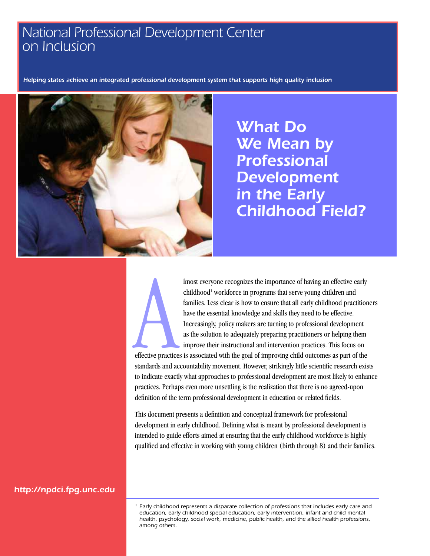# *National Professional Development Center on Inclusion*

*Helping states achieve an integrated professional development system that supports high quality inclusion*



*What Do We Mean by Professional Development in the Early Childhood Field?*



lmost everyone recognizes the importance of having an effective early childhood<sup>1</sup> workforce in programs that serve young children and families. Less clear is how to ensure that all early childhood practitioners have the essential knowledge and skills they need to be effective. Increasingly, policy makers are turning to professional development as the solution to adequately preparing practitioners or helping them improve their instructional and intervention practices. This focus on

effective practices is associated with the goal of improving child outcomes as part of the standards and accountability movement. However, strikingly little scientific research exists to indicate exactly what approaches to professional development are most likely to enhance practices. Perhaps even more unsettling is the realization that there is no agreed-upon definition of the term professional development in education or related fields.

This document presents a definition and conceptual framework for professional development in early childhood. Defining what is meant by professional development is intended to guide efforts aimed at ensuring that the early childhood workforce is highly qualified and effective in working with young children (birth through 8) and their families.

*<http://npdci.fpg.unc.edu>*

*1 Early childhood represents a disparate collection of professions that includes early care and education, early childhood special education, early intervention, infant and child mental health, psychology, social work, medicine, public health, and the allied health professions, among others.*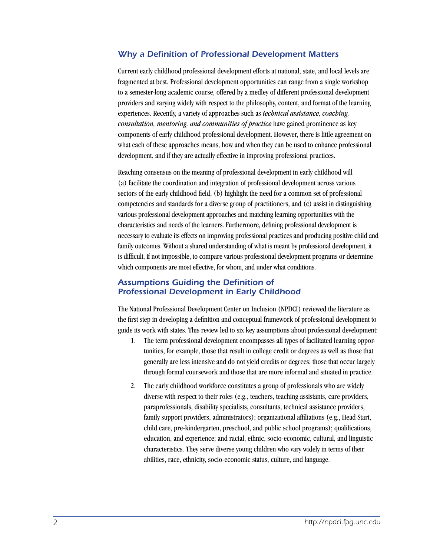## *Why a Definition of Professional Development Matters*

Current early childhood professional development efforts at national, state, and local levels are fragmented at best. Professional development opportunities can range from a single workshop to a semester-long academic course, offered by a medley of different professional development providers and varying widely with respect to the philosophy, content, and format of the learning experiences. Recently, a variety of approaches such as *technical assistance, coaching, consultation, mentoring, and communities of practice* have gained prominence as key components of early childhood professional development. However, there is little agreement on what each of these approaches means, how and when they can be used to enhance professional development, and if they are actually effective in improving professional practices.

Reaching consensus on the meaning of professional development in early childhood will (a) facilitate the coordination and integration of professional development across various sectors of the early childhood field, (b) highlight the need for a common set of professional competencies and standards for a diverse group of practitioners, and (c) assist in distinguishing various professional development approaches and matching learning opportunities with the characteristics and needs of the learners. Furthermore, defining professional development is necessary to evaluate its effects on improving professional practices and producing positive child and family outcomes. Without a shared understanding of what is meant by professional development, it is difficult, if not impossible, to compare various professional development programs or determine which components are most effective, for whom, and under what conditions.

## *Assumptions Guiding the Definition of Professional Development in Early Childhood*

The National Professional Development Center on Inclusion (NPDCI) reviewed the literature as the first step in developing a definition and conceptual framework of professional development to guide its work with states. This review led to six key assumptions about professional development:

- 1. The term professional development encompasses all types of facilitated learning opportunities, for example, those that result in college credit or degrees as well as those that generally are less intensive and do not yield credits or degrees; those that occur largely through formal coursework and those that are more informal and situated in practice.
- 2. The early childhood workforce constitutes a group of professionals who are widely diverse with respect to their roles (e.g., teachers, teaching assistants, care providers, paraprofessionals, disability specialists, consultants, technical assistance providers, family support providers, administrators); organizational affiliations (e.g., Head Start, child care, pre-kindergarten, preschool, and public school programs); qualifications, education, and experience; and racial, ethnic, socio-economic, cultural, and linguistic characteristics. They serve diverse young children who vary widely in terms of their abilities, race, ethnicity, socio-economic status, culture, and language.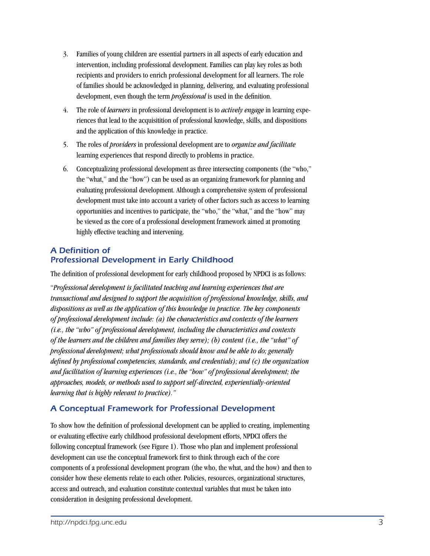- 3. Families of young children are essential partners in all aspects of early education and intervention, including professional development. Families can play key roles as both recipients and providers to enrich professional development for all learners. The role of families should be acknowledged in planning, delivering, and evaluating professional development, even though the term *professional* is used in the definition.
- 4. The role of *learners* in professional development is to *actively engage* in learning experiences that lead to the acquisitition of professional knowledge, skills, and dispositions and the application of this knowledge in practice.
- 5. The roles of *providers* in professional development are to *organize and facilitate*  learning experiences that respond directly to problems in practice.
- 6. Conceptualizing professional development as three intersecting components (the "who," the "what," and the "how") can be used as an organizing framework for planning and evaluating professional development. Although a comprehensive system of professional development must take into account a variety of other factors such as access to learning opportunities and incentives to participate, the "who," the "what," and the "how" may be viewed as the core of a professional development framework aimed at promoting highly effective teaching and intervening.

# *A Definition of Professional Development in Early Childhood*

The definition of professional development for early childhood proposed by NPDCI is as follows:

"*Professional development is facilitated teaching and learning experiences that are transactional and designed to support the acquisition of professional knowledge, skills, and dispositions as well as the application of this knowledge in practice. The key components of professional development include: (a) the characteristics and contexts of the learners (i.e., the "who" of professional development, including the characteristics and contexts of the learners and the children and families they serve); (b) content (i.e., the "what" of professional development; what professionals should know and be able to do; generally defined by professional competencies, standards, and credentials); and (c) the organization and facilitation of learning experiences (i.e., the "how" of professional development; the approaches, models, or methods used to support self-directed, experientially-oriented learning that is highly relevant to practice)."*

# *A Conceptual Framework for Professional Development*

To show how the definition of professional development can be applied to creating, implementing or evaluating effective early childhood professional development efforts, NPDCI offers the following conceptual framework (see Figure 1). Those who plan and implement professional development can use the conceptual framework first to think through each of the core components of a professional development program (the who, the what, and the how) and then to consider how these elements relate to each other. Policies, resources, organizational structures, access and outreach, and evaluation constitute contextual variables that must be taken into consideration in designing professional development.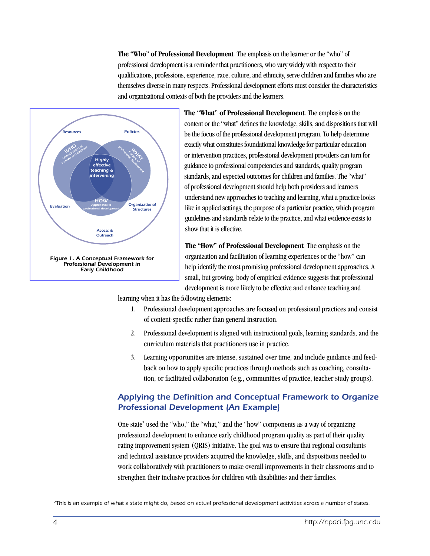**The "Who" of Professional Development***.* The emphasis on the learner or the "who" of professional development is a reminder that practitioners, who vary widely with respect to their qualifications, professions, experience, race, culture, and ethnicity, serve children and families who are themselves diverse in many respects. Professional development efforts must consider the characteristics and organizational contexts of both the providers and the learners.



**The "What" of Professional Development**. The emphasis on the content or the "what" defines the knowledge, skills, and dispositions that will be the focus of the professional development program. To help determine exactly what constitutes foundational knowledge for particular education or intervention practices, professional development providers can turn for guidance to professional competencies and standards, quality program standards, and expected outcomes for children and families. The "what" of professional development should help both providers and learners understand new approaches to teaching and learning, what a practice looks like in applied settings, the purpose of a particular practice, which program guidelines and standards relate to the practice, and what evidence exists to show that it is effective.

**The "How" of Professional Development***.* The emphasis on the organization and facilitation of learning experiences or the "how" can help identify the most promising professional development approaches. A small, but growing, body of empirical evidence suggests that professional development is more likely to be effective and enhance teaching and

learning when it has the following elements:

- 1. Professional development approaches are focused on professional practices and consist of content-specific rather than general instruction.
- 2. Professional development is aligned with instructional goals, learning standards, and the curriculum materials that practitioners use in practice.
- 3. Learning opportunities are intense, sustained over time, and include guidance and feedback on how to apply specific practices through methods such as coaching, consultation, or facilitated collaboration (e.g., communities of practice, teacher study groups).

# *Applying the Definition and Conceptual Framework to Organize Professional Development (An Example)*

One state<sup>2</sup> used the "who," the "what," and the "how" components as a way of organizing professional development to enhance early childhood program quality as part of their quality rating improvement system (QRIS) initiative. The goal was to ensure that regional consultants and technical assistance providers acquired the knowledge, skills, and dispositions needed to work collaboratively with practitioners to make overall improvements in their classrooms and to strengthen their inclusive practices for children with disabilities and their families.

*2This is an example of what a state might do, based on actual professional development activities across a number of states.*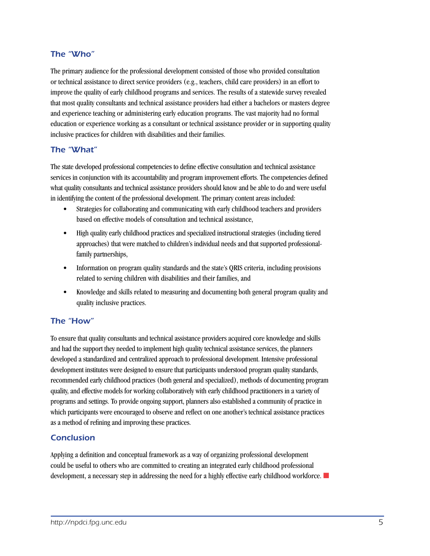## *The "Who"*

The primary audience for the professional development consisted of those who provided consultation or technical assistance to direct service providers (e.g., teachers, child care providers) in an effort to improve the quality of early childhood programs and services. The results of a statewide survey revealed that most quality consultants and technical assistance providers had either a bachelors or masters degree and experience teaching or administering early education programs. The vast majority had no formal education or experience working as a consultant or technical assistance provider or in supporting quality inclusive practices for children with disabilities and their families.

## *The "What"*

The state developed professional competencies to define effective consultation and technical assistance services in conjunction with its accountability and program improvement efforts. The competencies defined what quality consultants and technical assistance providers should know and be able to do and were useful in identifying the content of the professional development. The primary content areas included:

- Strategies for collaborating and communicating with early childhood teachers and providers based on effective models of consultation and technical assistance,
- • High quality early childhood practices and specialized instructional strategies (including tiered approaches) that were matched to children's individual needs and that supported professionalfamily partnerships,
- Information on program quality standards and the state's QRIS criteria, including provisions related to serving children with disabilities and their families, and
- Knowledge and skills related to measuring and documenting both general program quality and quality inclusive practices.

## *The "How"*

To ensure that quality consultants and technical assistance providers acquired core knowledge and skills and had the support they needed to implement high quality technical assistance services, the planners developed a standardized and centralized approach to professional development. Intensive professional development institutes were designed to ensure that participants understood program quality standards, recommended early childhood practices (both general and specialized), methods of documenting program quality, and effective models for working collaboratively with early childhood practitioners in a variety of programs and settings. To provide ongoing support, planners also established a community of practice in which participants were encouraged to observe and reflect on one another's technical assistance practices as a method of refining and improving these practices.

## *Conclusion*

Applying a definition and conceptual framework as a way of organizing professional development could be useful to others who are committed to creating an integrated early childhood professional development, a necessary step in addressing the need for a highly effective early childhood workforce.  $\blacksquare$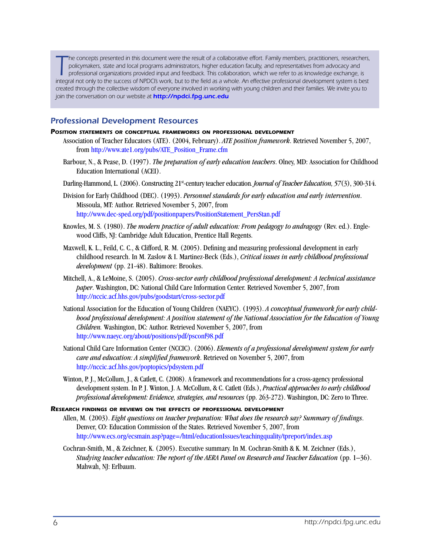The concepts presented in this document were the result of a collaborative effort. Family members, practitioners, researchers, policymakers, state and local programs administrators, higher education faculty, and representa *he concepts presented in this document were the result of a collaborative effort. Family members, practitioners, researchers, policymakers, state and local programs administrators, higher education faculty, and representatives from advocacy and professional organizations provided input and feedback. This collaboration, which we refer to as knowledge exchange, is created through the collective wisdom of everyone involved in working with young children and their families. We invite you to join the conversation on our website at <http://npdci.fpg.unc.edu>*

### *Professional Development Resources*

#### *Position statements or conceptual frameworks on professional development*

- Association of Teacher Educators (ATE). (2004, February). *ATE position framework*. Retrieved November 5, 2007, from [http://www.ate1.org/pubs/ATE\\_Position\\_Frame.cfm](http://www.ate1.org/pubs/ATE_Position_Frame.cfm)
- Barbour, N., & Pease, D. (1997). *The preparation of early education teachers*. Olney, MD: Association for Childhood Education International (ACEI).
- Darling-Hammond, L. (2006). Constructing 21<sup>st</sup>-century teacher education. *Journal of Teacher Education*, 57(3), 300-314.
- Division for Early Childhood (DEC). (1993). *Personnel standards for early education and early intervention*. Missoula, MT: Author. Retrieved November 5, 2007, from [http://www.dec-sped.org/pdf/positionpapers/PositionStatement\\_PersStan.pdf](http://www.dec-sped.org/pdf/positionpapers/PositionStatement_PersStan.pdf)
- Knowles, M. S. (1980). *The modern practice of adult education: From pedagogy to andragogy* (Rev. ed.). Englewood Cliffs, NJ: Cambridge Adult Education, Prentice Hall Regents.
- Maxwell, K. L., Feild, C. C., & Clifford, R. M. (2005). Defining and measuring professional development in early childhood research. In M. Zaslow & I. Martinez-Beck (Eds.), *Critical issues in early childhood professional development* (pp. 21-48). Baltimore: Brookes.
- Mitchell, A., & LeMoine, S. (2005). *Cross-sector early childhood professional development: A technical assistance paper*. Washington, DC: National Child Care Information Center. Retrieved November 5, 2007, from <http://nccic.acf.hhs.gov/pubs/goodstart/cross-sector.pdf>
- National Association for the Education of Young Children (NAEYC). (1993). *A conceptual framework for early childhood professional development: A position statement of the National Association for the Education of Young Children.* Washington, DC: Author. Retrieved November 5, 2007, from <http://www.naeyc.org/about/positions/pdf/psconf98.pdf>
- National Child Care Information Center (NCCIC). (2006). *Elements of a professional development system for early care and education: A simplified framework*. Retrieved on November 5, 2007, from <http://nccic.acf.hhs.gov/poptopics/pdsystem.pdf>
- Winton, P. J., McCollum, J., & Catlett, C. (2008). A framework and recommendations for a cross-agency professional development system. In P. J. Winton, J. A. McCollum, & C. Catlett (Eds.), *Practical approaches to early childhood professional development: Evidence, strategies, and resources* (pp. 263-272). Washington, DC: Zero to Three.

#### *Research findings or reviews on the effects of professional development*

- Allen, M. (2003). *Eight questions on teacher preparation: What does the research say? Summary of findings*. Denver, CO: Education Commission of the States. Retrieved November 5, 2007, from <http://www.ecs.org/ecsmain.asp?page=/html/educationIssues/teachingquality/tpreport/index.asp>
- Cochran-Smith, M., & Zeichner, K. (2005). Executive summary. In M. Cochran-Smith & K. M. Zeichner (Eds.), *Studying teacher education: The report of the AERA Panel on Research and Teacher Education* (pp. 1–36). Mahwah, NJ: Erlbaum.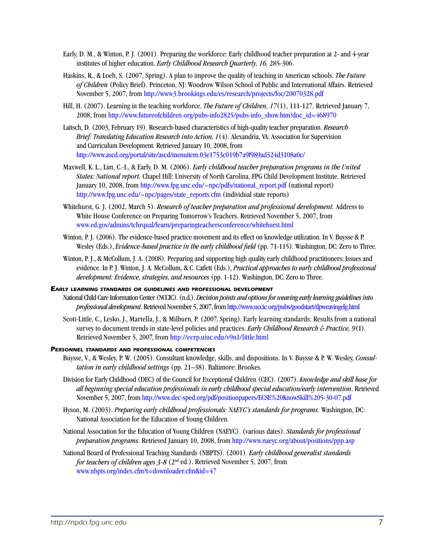- Early, D. M., & Winton, P. J. (2001). Preparing the workforce: Early childhood teacher preparation at 2- and 4-year institutes of higher education. *Early Childhood Research Quarterly, 16,* 285-306.
- Haskins, R., & Loeb, S. (2007, Spring). A plan to improve the quality of teaching in American schools. *The Future of Children* (Policy Brief). Princeton, NJ: Woodrow Wilson School of Public and International Affairs. Retrieved November 5, 2007, from <http://www3.brookings.edu/es/research/projects/foc/20070328.pdf>
- Hill, H. (2007). Learning in the teaching workforce. *The Future of Children, 17*(1), 111-127. Retrieved January 7, 2008, from [http://www.futureofchildren.org/pubs-info2825/pubs-info\\_show.htm?doc\\_id=468970](http://www.futureofchildren.org/pubs-info2825/pubs-info_show.htm?doc_id=468970)
- Laitsch, D. (2003, February 19). Research-based characteristics of high-quality teacher preparation. *Research Brief: Translating Education Research into Action, 1*(4). Alexandria, VA: Association for Supervision and Curriculum Development. Retrieved January 10, 2008, from <http://www.ascd.org/portal/site/ascd/menuitem.03e1753c019b7a9f989ad324d3108a0c/>
- Maxwell, K. L., Lim, C.-I., & Early, D. M. (2006). *Early childhood teacher preparation programs in the United States: National report.* Chapel Hill: University of North Carolina, FPG Child Development Institute. Retrieved January 10, 2008, from [http://www.fpg.unc.edu/~npc/pdfs/national\\_report.pdf](file:///Users/harrison/Documents/NPDCi/%232468_ProDevPaper/www.fpg.unc.edu/~npc/pdfs/national_report.pdf ) (national report) http:/[/www.fpg.unc.edu/~npc/pages/state\\_reports.cfm](file:///Users/harrison/Documents/NPDCi/%232468_ProDevPaper/www.fpg.unc.edu/~npc/pages/state_reports.cfm ) (individual state reports)
- Whitehurst, G. J. (2002, March 5). *Research of teacher preparation and professional development.* Address to White House Conference on Preparing Tomorrow's Teachers. Retrieved November 5, 2007, from [www.ed.gov/admins/tchrqual/learn/preparingteachersconference/whitehurst.html](http://www.ed.gov/admins/tchrqual/learn/preparingteachersconference/whitehurst.html)
- Winton, P. J. (2006). The evidence-based practice movement and its effect on knowledge utilization. In V. Buysse & P. Wesley (Eds.), *Evidence-based practice in the early childhood field* (pp. 71-115). Washington, DC: Zero to Three.
- Winton, P. J., & McCollum, J. A. (2008). Preparing and supporting high quality early childhood practitioners: Issues and evidence. In P. J. Winton, J. A. McCollum, & C. Catlett (Eds.), *Practical approaches to early childhood professional development: Evidence, strategies, and resources* (pp. 1-12). Washington, DC: Zero to Three.

#### *Early learning standards or guidelines and professional development*

- National Child Care Information Center (NCCIC). (n.d.). *Decision points and options for weaving early learning guidelines into professional development*. Retrieved November 5, 2007, from<http://www.nccic.org/pubs/goodstart/dpweavingelg.html>
- Scott-Little, C., Lesko, J., Martella, J., & Milburn, P. (2007, Spring). Early learning standards: Results from a national survey to document trends in state-level policies and practices. *Early Childhood Research & Practice, 9*(1). Retrieved November 5, 2007, from<http://ecrp.uiuc.edu/v9n1/little.html>

#### *Personnel standards and professional competencies*

- Buysse, V., & Wesley, P. W. (2005). Consultant knowledge, skills, and dispositions. In V. Buysse & P. W. Wesley, *Consultation in early childhood settings* (pp. 21–38). Baltimore: Brookes.
- Division for Early Childhood (DEC) of the Council for Exceptional Children (CEC). (2007). *Knowledge and skill base for all beginning special education professionals in early childhood special education/early intervention*. Retrieved November 5, 2007, from [http://www.dec-sped.org/pdf/positionpapers/ECSE%20KnowSkill%205-30-07.pdf](http://www.dec-sped.org/pdf/positionpapers/ECSE KnowSkill 5-30-07.pdf)
- Hyson, M. (2003). *Preparing early childhood professionals: NAEYC's standards for programs.* Washington, DC: National Association for the Education of Young Children.
- National Association for the Education of Young Children (NAEYC). (various dates). *Standards for professional preparation programs*. Retrieved January 10, 2008, from <http://www.naeyc.org/about/positions/ppp.asp>
- National Board of Professional Teaching Standards (NBPTS). (2001). *Early childhood generalist standards for teachers of children ages 3-8* (2nd ed.). Retrieved November 5, 2007, from [www.nbpts.org/index.cfm?t=downloader.cfm&id=47](http://www.nbpts.org/index.cfm?t=downloader.cfm&id=47)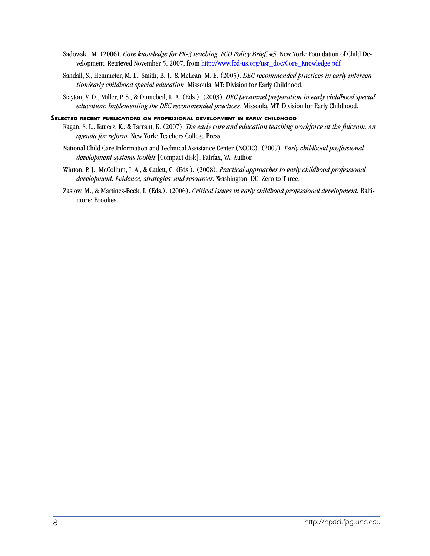- Sadowski, M. (2006). *Core knowledge for PK-3 teaching. FCD Policy Brief, #5*. New York: Foundation of Child Development. Retrieved November 5, 2007, from [http://www.fcd-us.org/usr\\_doc/Core\\_Knowledge.pdf](http://www.fcd-us.org/usr_doc/Core_Knowledge.pdf)
- Sandall, S., Hemmeter, M. L., Smith, B. J., & McLean, M. E. (2005). *DEC recommended practices in early intervention/early childhood special education*. Missoula, MT: Division for Early Childhood.
- Stayton, V. D., Miller, P. S., & Dinnebeil, L. A. (Eds.). (2003). *DEC personnel preparation in early childhood special education: Implementing the DEC recommended practices*. Missoula, MT: Division for Early Childhood.

#### *Selected recent publications on professional development in early childhood*

- Kagan, S. L., Kauerz, K., & Tarrant, K. (2007). *The early care and education teaching workforce at the fulcrum: An agenda for reform.* New York: Teachers College Press.
- National Child Care Information and Technical Assistance Center (NCCIC). (2007). *Early childhood professional development systems toolkit* [Compact disk]. Fairfax, VA: Author.
- Winton, P. J., McCollum, J. A., & Catlett, C. (Eds.). (2008). *Practical approaches to early childhood professional development: Evidence, strategies, and resources.* Washington, DC: Zero to Three.
- Zaslow, M., & Martinez-Beck, I. (Eds.). (2006). *Critical issues in early childhood professional development.* Baltimore: Brookes.